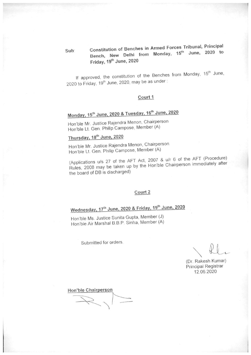# Constitution of Benches in Armed Forces Tribunal, Principal Bench, New Delhi from Monday, 15th June, 2020 to Friday, 19th June, 2020

If approved, the constitution of the Benches from Monday, 15th June, 2020 to Friday, 19<sup>th</sup> June, 2020, may be as under:

#### Court 1

# Monday, 15th June, 2020 & Tuesday, 16th June, 2020

Hon'ble Mr. Justice Rajendra Menon, Chairperson Hon'ble Lt. Gen. Philip Campose, Member (A)

# Thursday, 18<sup>th</sup> June, 2020

Hon'ble Mr. Justice Rajendra Menon, Chairperson Hon'ble Lt. Gen. Philip Campose, Member (A)

(Applications u/s 27 of the AFT Act, 2007 & u/r 6 of the AFT (Procedure) Rules, 2008 may be taken up by the Hon'ble Chairperson immediately after the board of DB is discharged)

#### Court 2

# Wednesday, 17th June, 2020 & Friday, 19th June, 2020

Hon'ble Ms. Justice Sunita Gupta, Member (J) Hon'ble Air Marshal B.B.P. Sinha, Member (A)

Submitted for orders.

(Dr. Rakesh Kumar) Principal Registrar 12.06.2020

Hon'ble Chairperson

Sub: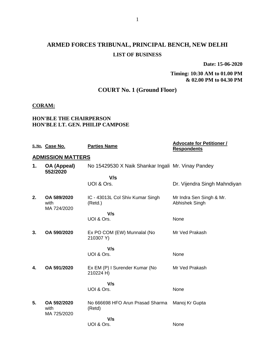# **ARMED FORCES TRIBUNAL, PRINCIPAL BENCH, NEW DELHI LIST OF BUSINESS**

**Date: 15-06-2020**

**Timing: 10:30 AM to 01.00 PM & 02.00 PM to 04.30 PM**

## **COURT No. 1 (Ground Floor)**

#### **CORAM:**

#### **HON'BLE THE CHAIRPERSON HON'BLE LT. GEN. PHILIP CAMPOSE**

|    | S. No. Case No.                    | <b>Parties Name</b>                                | <b>Advocate for Petitioner /</b><br><b>Respondents</b> |
|----|------------------------------------|----------------------------------------------------|--------------------------------------------------------|
|    | <b>ADMISSION MATTERS</b>           |                                                    |                                                        |
| 1. | OA (Appeal)<br>552/2020            | No 15429530 X Naik Shankar Ingali Mr. Vinay Pandey |                                                        |
|    |                                    | V/s                                                |                                                        |
|    |                                    | UOI & Ors.                                         | Dr. Vijendra Singh Mahndiyan                           |
| 2. | OA 589/2020<br>with<br>MA 724/2020 | IC - 43013L Col Shiv Kumar Singh<br>(Retd.)        | Mr Indra Sen Singh & Mr.<br>Abhishek Singh             |
|    |                                    | V/s                                                |                                                        |
|    |                                    | UOI & Ors.                                         | None                                                   |
| 3. | OA 590/2020                        | Ex PO COM (EW) Munnalal (No<br>210307 Y)           | Mr Ved Prakash                                         |
|    |                                    | V/s                                                |                                                        |
|    |                                    | UOI & Ors.                                         | None                                                   |
| 4. | OA 591/2020                        | Ex EM (P) I Surender Kumar (No<br>210224 H)        | Mr Ved Prakash                                         |
|    |                                    | V/s                                                |                                                        |
|    |                                    | UOI & Ors.                                         | None                                                   |
| 5. | OA 592/2020<br>with<br>MA 725/2020 | No 666698 HFO Arun Prasad Sharma<br>(Retd)         | Manoj Kr Gupta                                         |
|    |                                    | V/s                                                |                                                        |
|    |                                    | UOI & Ors.                                         | None                                                   |
|    |                                    |                                                    |                                                        |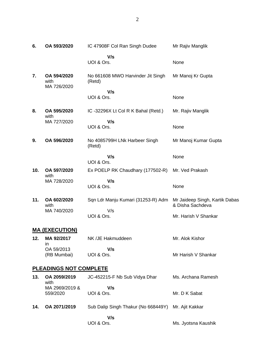| 6.                            | OA 593/2020                        | IC 47908F Col Ran Singh Dudee               | Mr Rajiv Manglik                                   |  |
|-------------------------------|------------------------------------|---------------------------------------------|----------------------------------------------------|--|
|                               |                                    | V/s<br>UOI & Ors.                           | None                                               |  |
| 7.                            | OA 594/2020<br>with<br>MA 726/2020 | No 661608 MWO Harvinder Jit Singh<br>(Retd) | Mr Manoj Kr Gupta                                  |  |
|                               |                                    | V/s<br>UOI & Ors.                           | None                                               |  |
| 8.                            | OA 595/2020                        | IC-32296X Lt Col R K Bahal (Retd.)          | Mr. Rajiv Manglik                                  |  |
|                               | with<br>MA 727/2020                | V/s<br>UOI & Ors.                           | None                                               |  |
| 9.                            | OA 596/2020                        | No 4085799H LNk Harbeer Singh<br>(Retd)     | Mr Manoj Kumar Gupta                               |  |
|                               |                                    | V/s<br>UOI & Ors.                           | None                                               |  |
| 10.                           | OA 597/2020<br>with                | Ex POELP RK Chaudhary (177502-R)            | Mr. Ved Prakash                                    |  |
|                               | MA 728/2020                        | V/s<br>UOI & Ors.                           | None                                               |  |
| 11.                           | OA 602/2020<br>with                | Sqn Ldr Manju Kumari (31253-R) Adm          | Mr Jaideep Singh, Kartik Dabas<br>& Disha Sachdeva |  |
|                               | MA 740/2020                        | V/s<br>UOI & Ors.                           | Mr. Harish V Shankar                               |  |
|                               | <b>MA (EXECUTION)</b>              |                                             |                                                    |  |
| 12.                           | MA 92/2017                         | NK /JE Hakmuddeen                           | Mr. Alok Kishor                                    |  |
|                               | in<br>OA 59/2013<br>(RB Mumbai)    | V/s<br>UOI & Ors.                           | Mr Harish V Shankar                                |  |
| <b>PLEADINGS NOT COMPLETE</b> |                                    |                                             |                                                    |  |
| 13.                           | OA 2059/2019                       | JC-452215-F Nb Sub Vidya Dhar               | Ms. Archana Ramesh                                 |  |

Mr. D K Sabat

Ms. Jyotsna Kaushik

with

559/2020

MA 2969/2019 &

 **V/s**

 **V/s**

**14. OA 2071/2019** Sub Dalip Singh Thakur (No 668449Y) Mr. Ajit Kakkar

UOI & Ors.

UOI & Ors.

2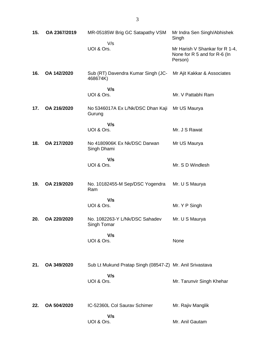| 15. | OA 2367/2019 | MR-05185W Brig GC Satapathy VSM<br>V/s                   | Mr Indra Sen Singh/Abhishek<br>Singh                                      |
|-----|--------------|----------------------------------------------------------|---------------------------------------------------------------------------|
|     |              | UOI & Ors.                                               | Mr Harish V Shankar for R 1-4,<br>None for R 5 and for R-6 (In<br>Person) |
| 16. | OA 142/2020  | Sub (RT) Davendra Kumar Singh (JC-<br>468674K)           | Mr Ajit Kakkar & Associates                                               |
|     |              | V/s<br>UOI & Ors.                                        | Mr. V Pattabhi Ram                                                        |
| 17. | OA 216/2020  | No 5346017A Ex L/Nk/DSC Dhan Kaji<br>Gurung              | Mr US Maurya                                                              |
|     |              | V/s<br>UOI & Ors.                                        | Mr. J S Rawat                                                             |
| 18. | OA 217/2020  | No 4180906K Ex Nk/DSC Darwan<br>Singh Dhami              | Mr US Maurya                                                              |
|     |              | V/s<br>UOI & Ors.                                        | Mr. S D Windlesh                                                          |
| 19. | OA 219/2020  | No. 10182455-M Sep/DSC Yogendra<br>Ram                   | Mr. U S Maurya                                                            |
|     |              | V/s<br>UOI & Ors.                                        | Mr. Y P Singh                                                             |
| 20. | OA 220/2020  | No. 1082263-Y L/Nk/DSC Sahadev<br>Singh Tomar            | Mr. U S Maurya                                                            |
|     |              | V/s<br>UOI & Ors.                                        | None                                                                      |
| 21. | OA 349/2020  | Sub Lt Mukund Pratap Singh (08547-Z) Mr. Anil Srivastava |                                                                           |
|     |              | V/s<br>UOI & Ors.                                        | Mr. Tarunvir Singh Khehar                                                 |
| 22. | OA 504/2020  | IC-52360L Col Saurav Schimer                             | Mr. Rajiv Manglik                                                         |
|     |              | V/s<br>UOI & Ors.                                        | Mr. Anil Gautam                                                           |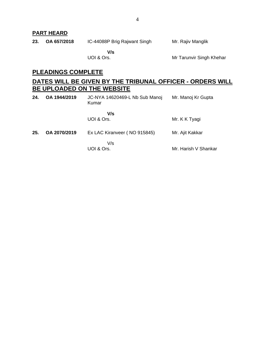## **PART HEARD**

| 23. | OA 657/2018 | IC-44088P Brig Rajwant Singh | Mr. Rajiv Manglik |  |
|-----|-------------|------------------------------|-------------------|--|
|     |             |                              |                   |  |

 **V/s** UOI & Ors.

Mr Tarunvir Singh Khehar

### **PLEADINGS COMPLETE**

## **DATES WILL BE GIVEN BY THE TRIBUNAL OFFICER - ORDERS WILL BE UPLOADED ON THE WEBSITE**

| 24. | OA 1944/2019 | JC-NYA 14620469-L Nb Sub Manoj<br>Kumar | Mr. Manoj Kr Gupta   |
|-----|--------------|-----------------------------------------|----------------------|
|     |              | V/s<br>UOI & Ors.                       | Mr. K K Tyagi        |
| 25. | OA 2070/2019 | Ex LAC Kiranveer (NO 915845)            | Mr. Ajit Kakkar      |
|     |              | V/s<br>UOI & Ors.                       | Mr. Harish V Shankar |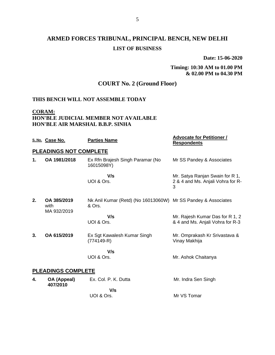# **ARMED FORCES TRIBUNAL, PRINCIPAL BENCH, NEW DELHI LIST OF BUSINESS**

**Date: 15-06-2020**

### **Timing: 10:30 AM to 01.00 PM & 02.00 PM to 04.30 PM**

## **COURT No. 2 (Ground Floor)**

#### **THIS BENCH WILL NOT ASSEMBLE TODAY**

**CORAM:**

#### **HON'BLE JUDICIAL MEMBER NOT AVAILABLE HON'BLE AIR MARSHAL B.B.P. SINHA**

|    | S. No. Case No.                    | <b>Parties Name</b>                                                     | <b>Advocate for Petitioner /</b><br><b>Respondents</b>                    |  |  |
|----|------------------------------------|-------------------------------------------------------------------------|---------------------------------------------------------------------------|--|--|
|    | <b>PLEADINGS NOT COMPLETE</b>      |                                                                         |                                                                           |  |  |
| 1. | OA 1981/2018                       | Ex Rfn Brajesh Singh Paramar (No<br>16015098Y)                          | Mr SS Pandey & Associates                                                 |  |  |
|    |                                    | V/s<br>UOI & Ors.                                                       | Mr. Satya Ranjan Swain for R 1,<br>2 & 4 and Ms. Anjali Vohra for R-<br>3 |  |  |
| 2. | OA 385/2019<br>with<br>MA 932/2019 | Nk Anil Kumar (Retd) (No 16013060W) Mr SS Pandey & Associates<br>& Ors. |                                                                           |  |  |
|    |                                    | V/s<br>UOI & Ors.                                                       | Mr. Rajesh Kumar Das for R 1, 2<br>& 4 and Ms. Anjali Vohra for R-3       |  |  |
| 3. | OA 615/2019                        | Ex Sgt Kawalesh Kumar Singh<br>$(774149-R)$                             | Mr. Omprakash Kr Srivastava &<br>Vinay Makhija                            |  |  |
|    |                                    | V/s<br>UOI & Ors.                                                       | Mr. Ashok Chaitanya                                                       |  |  |
|    | <b>PLEADINGS COMPLETE</b>          |                                                                         |                                                                           |  |  |
| 4. | OA (Appeal)                        | Ex. Col. P. K. Dutta                                                    | Mr. Indra Sen Singh                                                       |  |  |
|    | 407/2010                           | V/s                                                                     |                                                                           |  |  |

UOI & Ors.

Mr VS Tomar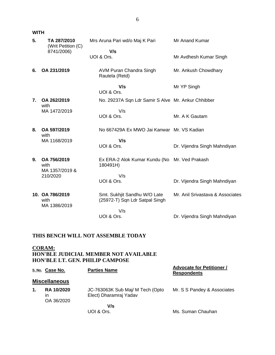**WITH**

| 5.             | TA 287/2010<br>(Writ Petition (C)       | Mrs Aruna Pari wd/o Maj K Pari                                 | Mr Anand Kumar                   |
|----------------|-----------------------------------------|----------------------------------------------------------------|----------------------------------|
|                | 8741/2006)                              | V/s<br>UOI & Ors.                                              | Mr Avdhesh Kumar Singh           |
| 6.             | OA 231/2019                             | AVM Puran Chandra Singh<br>Rautela (Retd)                      | Mr. Ankush Chowdhary             |
|                |                                         | V/s<br>UOI & Ors.                                              | Mr YP Singh                      |
| $\mathbf{7}$ . | OA 262/2019                             | No. 29237A Sqn Ldr Samir S Alve Mr. Ankur Chhibber             |                                  |
|                | with<br>MA 1472/2019                    | V/s<br>UOI & Ors.                                              | Mr. A K Gautam                   |
| 8.             | OA 597/2019<br>with                     | No 667429A Ex MWO Jai Kanwar Mr. VS Kadian                     |                                  |
|                | MA 1168/2019                            | V/s<br>UOI & Ors.                                              | Dr. Vijendra Singh Mahndiyan     |
| 9.             | OA 756/2019<br>with                     | Ex ERA-2 Alok Kumar Kundu (No Mr. Ved Prakash<br>180491H)      |                                  |
|                | MA 1357/2019 &<br>210/2020              | V/s<br>UOI & Ors.                                              | Dr. Vijendra Singh Mahndiyan     |
|                | 10. OA 786/2019<br>with<br>MA 1386/2019 | Smt. Sukhjit Sandhu W/O Late<br>(25972-T) Sqn Ldr Satpal Singh | Mr. Anil Srivastava & Associates |
|                |                                         | V/s<br>UOI & Ors.                                              | Dr. Vijendra Singh Mahndiyan     |
|                |                                         |                                                                |                                  |

### **THIS BENCH WILL NOT ASSEMBLE TODAY**

#### **CORAM: HON'BLE JUDICIAL MEMBER NOT AVAILABLE HON'BLE LT. GEN. PHILIP CAMPOSE**

|    | S.No. Case No.                        | <b>Parties Name</b>                                        | <b>Advocate for Petitioner /</b><br><b>Respondents</b> |
|----|---------------------------------------|------------------------------------------------------------|--------------------------------------------------------|
|    | <b>Miscellaneous</b>                  |                                                            |                                                        |
| 1. | <b>RA 10/2020</b><br>ın<br>OA 36/2020 | JC-763063K Sub Maj/ M Tech (Opto<br>Elect) Dharamraj Yadav | Mr. S S Pandey & Associates                            |
|    |                                       | V/s<br>UOI & Ors.                                          | Ms. Suman Chauhan                                      |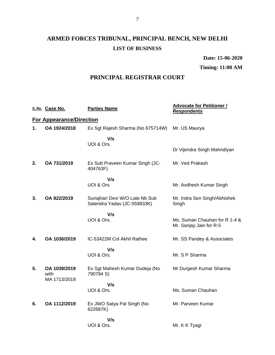# **ARMED FORCES TRIBUNAL, PRINCIPAL BENCH, NEW DELHI LIST OF BUSINESS**

**Date: 15-06-2020**

**Timing: 11:00 AM**

## **PRINCIPAL REGISTRAR COURT**

|    | S. No. Case No.                      | <b>Parties Name</b>                                           | <b>Advocate for Petitioner /</b><br><b>Respondents</b>   |
|----|--------------------------------------|---------------------------------------------------------------|----------------------------------------------------------|
|    | <b>For Appearance/Direction</b>      |                                                               |                                                          |
| 1. | OA 1924/2018                         | Ex Sgt Rajesh Sharma (No 675714W)                             | Mr. US Maurya                                            |
|    |                                      | V/s<br>UOI & Ors.                                             |                                                          |
|    |                                      |                                                               | Dr Vijendra Singh Mahndiyan                              |
| 2. | OA 731/2019                          | Ex Sub Praveen Kumar Singh (JC-<br>404763F)                   | Mr. Ved Prakash                                          |
|    |                                      | V/s                                                           |                                                          |
|    |                                      | UOI & Ors.                                                    | Mr. Avdhesh Kumar Singh                                  |
| 3. | OA 822/2019                          | Sunajhari Devi W/O Late Nb Sub<br>Satendra Yadav (JC-559833K) | Mr. Indra Sen Singh/Abhishek<br>Singh                    |
|    |                                      | V/s                                                           |                                                          |
|    |                                      | UOI & Ors.                                                    | Ms. Suman Chauhan for R 1-4 &<br>Mr. Sanjay Jain for R-5 |
| 4. | OA 1036/2019                         | IC-53422M Col Akhil Rathee                                    | Mr. SS Pandey & Associates                               |
|    |                                      | V/s                                                           |                                                          |
|    |                                      | UOI & Ors.                                                    | Mr. S P Sharma                                           |
| 5. | OA 1039/2019<br>with<br>MA 1713/2019 | Ex Sgt Mahesh Kumar Dudeja (No<br>790794 S)                   | Mr Durgesh Kumar Sharma                                  |
|    |                                      | V/s                                                           |                                                          |
|    |                                      | UOI & Ors.                                                    | Ms. Suman Chauhan                                        |
| 6. | OA 1112/2019                         | Ex JWO Satya Pal Singh (No<br>622687K)                        | Mr. Parveen Kumar                                        |
|    |                                      | V/s                                                           |                                                          |
|    |                                      | UOI & Ors.                                                    | Mr. K K Tyagi                                            |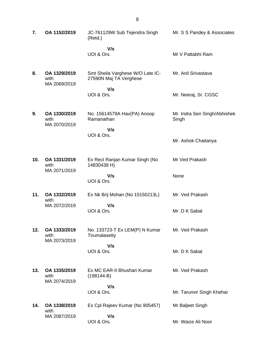| 7.  | OA 1152/2019                         | JC-761129W Sub Tejendra Singh<br>(Retd.)                   | Mr. S S Pandey & Associates           |
|-----|--------------------------------------|------------------------------------------------------------|---------------------------------------|
|     |                                      | V/s<br>UOI & Ors.                                          | Mr V Pattabhi Ram                     |
| 8.  | OA 1329/2019<br>with<br>MA 2069/2019 | Smt Sheila Varghese W/O Late IC-<br>27590N Maj TA Verghese | Mr. Anil Srivastava                   |
|     |                                      | V/s<br>UOI & Ors.                                          | Mr. Neeraj, Sr. CGSC                  |
| 9.  | OA 1330/2019<br>with<br>MA 2070/2019 | No. 15614579A Hav(PA) Anoop<br>Ramanathan                  | Mr. Indra Sen Singh/Abhishek<br>Singh |
|     |                                      | V/s<br>UOI & Ors.                                          | Mr. Ashok Chaitanya                   |
| 10. | OA 1331/2019<br>with                 | Ex Rect Ranjan Kumar Singh (No<br>14830438 H)              | Mr Ved Prakash                        |
|     | MA 2071/2019                         | V/s<br>UOI & Ors.                                          | None                                  |
| 11. | OA 1332/2019<br>with                 | Ex Nk Brij Mohan (No 15150213L)                            | Mr. Ved Prakash                       |
|     | MA 2072/2019                         | V/s<br>UOI & Ors.                                          | Mr. D K Sabat                         |
| 12. | OA 1333/2019<br>with                 | No. 133723-T Ex LEM(P) N Kumar<br>Tirumalasetty            | Mr. Ved Prakash                       |
|     | MA 2073/2019                         | V/s<br>UOI & Ors.                                          | Mr. D K Sabat                         |
| 13. | OA 1335/2019<br>with<br>MA 2074/2019 | Ex MC EAR-II Bhushan Kumar<br>$(198144-B)$                 | Mr. Ved Prakash                       |
|     |                                      | V/s<br>UOI & Ors.                                          | Mr. Tarunvir Singh Khehar             |
| 14. | OA 1338/2019                         | Ex Cpl Rajeev Kumar (No 905457)                            | Mr Baljeet Singh                      |
|     | with<br>MA 2087/2019                 | V/s                                                        |                                       |
|     |                                      | UOI & Ors.                                                 | Mr. Waize Ali Noor                    |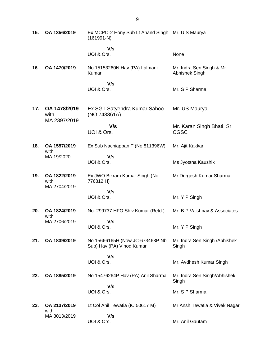| 15. | OA 1356/2019                         | Ex MCPO-2 Hony Sub Lt Anand Singh Mr. U S Maurya<br>$(161991-N)$ |                                             |
|-----|--------------------------------------|------------------------------------------------------------------|---------------------------------------------|
|     |                                      | V/s<br>UOI & Ors.                                                | None                                        |
| 16. | OA 1470/2019                         | No 15153260N Hav (PA) Lalmani<br>Kumar                           | Mr. Indra Sen Singh & Mr.<br>Abhishek Singh |
|     |                                      | V/s<br>UOI & Ors.                                                | Mr. S P Sharma                              |
| 17. | OA 1478/2019<br>with<br>MA 2397/2019 | Ex SGT Satyendra Kumar Sahoo<br>(NO 743361A)                     | Mr. US Maurya                               |
|     |                                      | V/s<br>UOI & Ors.                                                | Mr. Karan Singh Bhati, Sr.<br><b>CGSC</b>   |
| 18. | OA 1557/2019<br>with                 | Ex Sub Nachiappan T (No 811396W)                                 | Mr. Ajit Kakkar                             |
|     | MA 19/2020                           | V/s<br>UOI & Ors.                                                | Ms Jyotsna Kaushik                          |
| 19. | OA 1822/2019<br>with<br>MA 2704/2019 | Ex JWO Bikram Kumar Singh (No<br>776812 H)                       | Mr Durgesh Kumar Sharma                     |
|     |                                      | V/s<br>UOI & Ors.                                                | Mr. Y P Singh                               |
| 20. | OA 1824/2019<br>with                 | No. 299737 HFO Shiv Kumar (Retd.)                                | Mr. B P Vaishnav & Associates               |
|     | MA 2706/2019                         | V/s<br>UOI & Ors.                                                | Mr. Y P Singh                               |
| 21. | OA 1839/2019                         | No 15666165H (Now JC-673463P Nb<br>Sub) Hav (PA) Vinod Kumar     | Mr. Indra Sen Singh / Abhishek<br>Singh     |
|     |                                      | V/s<br>UOI & Ors.                                                | Mr. Avdhesh Kumar Singh                     |
| 22. | OA 1885/2019                         | No 15476264P Hav (PA) Anil Sharma                                | Mr. Indra Sen Singh/Abhishek<br>Singh       |
|     |                                      | V/s<br>UOI & Ors.                                                | Mr. S P Sharma                              |
| 23. | OA 2137/2019                         | Lt Col Anil Tewatia (IC 50617 M)                                 | Mr Ansh Tewatia & Vivek Nagar               |
|     | with<br>MA 3013/2019                 | V/s<br>UOI & Ors.                                                | Mr. Anil Gautam                             |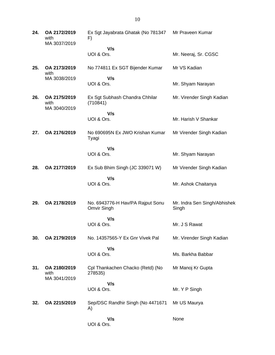**24. OA 2172/2019** with MA 3037/2019 Ex Sgt Jayabrata Ghatak (No 781347 F)  **V/s** UOI & Ors. Mr Praveen Kumar Mr. Neeraj, Sr. CGSC **25. OA 2173/2019** with MA 3038/2019 No 774811 Ex SGT Bijender Kumar  **V/s** UOI & Ors. Mr VS Kadian Mr. Shyam Narayan **26. OA 2175/2019** with MA 3040/2019 Ex Sgt Subhash Chandra Chhilar (710841)  **V/s** UOI & Ors. Mr. Virender Singh Kadian Mr. Harish V Shankar **27. OA 2176/2019** No 690695N Ex JWO Krishan Kumar Tyagi  **V/s** UOI & Ors. Mr Virender Singh Kadian Mr. Shyam Narayan **28. OA 2177/2019** Ex Sub Bhim Singh (JC 339071 W)  **V/s** UOI & Ors. Mr Virender Singh Kadian Mr. Ashok Chaitanya **29. OA 2178/2019** No. 6943776-H Hav/PA Rajput Sonu Omvir Singh  **V/s** UOI & Ors. Mr. Indra Sen Singh/Abhishek Singh Mr. J S Rawat **30. OA 2179/2019** No. 14357565-Y Ex Gnr Vivek Pal  **V/s** UOI & Ors. Mr. Virender Singh Kadian Ms. Barkha Babbar **31. OA 2180/2019** with MA 3041/2019 Cpl Thankachen Chacko (Retd) (No 278535)  **V/s** UOI & Ors. Mr Manoj Kr Gupta Mr. Y P Singh **32. OA 2215/2019** Sep/DSC Randhir Singh (No 4471671 A)  **V/s** UOI & Ors. Mr US Maurya None